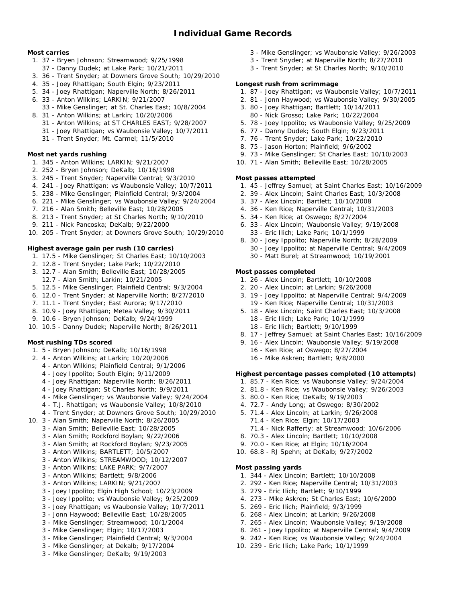### **Most carries**

- 1. 37 Bryen Johnson; Streamwood; 9/25/1998
	- 37 Danny Dudek; at Lake Park; 10/21/2011
- 3. 36 Trent Snyder; at Downers Grove South; 10/29/2010
- 4. 35 Joey Rhattigan; South Elgin; 9/23/2011
- 5. 34 Joey Rhattigan; Naperville North; 8/26/2011
- 6. 33 Anton Wilkins; LARKIN; 9/21/2007
- 33 Mike Genslinger; at St. Charles East; 10/8/2004
- 8. 31 Anton Wilkins; at Larkin; 10/20/2006
	- 31 Anton Wilkins; at ST CHARLES EAST; 9/28/2007
	- 31 Joey Rhattigan; vs Waubonsie Valley; 10/7/2011
	- 31 Trent Snyder; Mt. Carmel; 11/5/2010

# **Most net yards rushing**

- 1. 345 Anton Wilkins; LARKIN; 9/21/2007
- 2. 252 Bryen Johnson; DeKalb; 10/16/1998
- 3. 245 Trent Snyder; Naperville Central; 9/3/2010
- 4. 241 Joey Rhattigan; vs Waubonsie Valley; 10/7/2011
- 5. 238 Mike Genslinger; Plainfield Central; 9/3/2004
- 6. 221 Mike Genslinger; vs Waubonsie Valley; 9/24/2004
- 7. 216 Alan Smith; Belleville East; 10/28/2005
- 8. 213 Trent Snyder; at St Charles North; 9/10/2010
- 9. 211 Nick Pancoska; DeKalb; 9/22/2000
- 10. 205 Trent Snyder; at Downers Grove South; 10/29/2010

## **Highest average gain per rush (10 carries)**

- 1. 17.5 Mike Genslinger; St Charles East; 10/10/2003
- 2. 12.8 Trent Snyder; Lake Park; 10/22/2010
- 3. 12.7 Alan Smith; Belleville East; 10/28/2005
- 12.7 Alan Smith; Larkin; 10/21/2005
- 5. 12.5 Mike Genslinger; Plainfield Central; 9/3/2004
- 6. 12.0 Trent Snyder; at Naperville North; 8/27/2010
- 7. 11.1 Trent Snyder; East Aurora; 9/17/2010
- 8. 10.9 Joey Rhattigan; Metea Valley; 9/30/2011
- 9. 10.6 Bryen Johnson; DeKalb; 9/24/1999
- 10. 10.5 Danny Dudek; Naperville North; 8/26/2011

### **Most rushing TDs scored**

- 1. 5 Bryen Johnson; DeKalb; 10/16/1998
- 2. 4 Anton Wilkins; at Larkin; 10/20/2006
	- 4 Anton Wilkins; Plainfield Central; 9/1/2006
	- 4 Joey Ippolito; South Elgin; 9/11/2009
	- 4 Joey Rhattigan; Naperville North; 8/26/2011
	- 4 Joey Rhattigan; St Charles North; 9/9/2011
	- 4 Mike Genslinger; vs Waubonsie Valley; 9/24/2004
	- 4 T.J. Rhattigan; vs Waubonsie Valley; 10/8/2010
	- 4 Trent Snyder; at Downers Grove South; 10/29/2010
- 10. 3 Alan Smith; Naperville North; 8/26/2005
	- 3 Alan Smith; Belleville East; 10/28/2005
	- 3 Alan Smith; Rockford Boylan; 9/22/2006
	- 3 Alan Smith; at Rockford Boylan; 9/23/2005
	- 3 Anton Wilkins; BARTLETT; 10/5/2007
	- 3 Anton Wilkins; STREAMWOOD; 10/12/2007
	- 3 Anton Wilkins; LAKE PARK; 9/7/2007
	- 3 Anton Wilkins; Bartlett; 9/8/2006
	- 3 Anton Wilkins; LARKIN; 9/21/2007
	- 3 Joey Ippolito; Elgin High School; 10/23/2009
	- 3 Joey Ippolito; vs Waubonsie Valley; 9/25/2009
	- 3 Joey Rhattigan; vs Waubonsie Valley; 10/7/2011
	- 3 Jonn Haywood; Belleville East; 10/28/2005
	- 3 Mike Genslinger; Streamwood; 10/1/2004
	- 3 Mike Genslinger; Elgin; 10/17/2003
	- 3 Mike Genslinger; Plainfield Central; 9/3/2004
	- 3 Mike Genslinger; at Dekalb; 9/17/2004
	- 3 Mike Genslinger; DeKalb; 9/19/2003
- 3 Mike Genslinger; vs Waubonsie Valley; 9/26/2003
- 3 Trent Snyder; at Naperville North; 8/27/2010
- 3 Trent Snyder; at St Charles North; 9/10/2010

# **Longest rush from scrimmage**

- 1. 87 Joey Rhattigan; vs Waubonsie Valley; 10/7/2011
- 2. 81 Jonn Haywood; vs Waubonsie Valley; 9/30/2005
- 3. 80 Joey Rhattigan; Bartlett; 10/14/2011
- 80 Nick Grosso; Lake Park; 10/22/2004
- 5. 78 Joey Ippolito; vs Waubonsie Valley; 9/25/2009
- 6. 77 Danny Dudek; South Elgin; 9/23/2011
- 7. 76 Trent Snyder; Lake Park; 10/22/2010
- 8. 75 Jason Horton; Plainfield; 9/6/2002
- 9. 73 Mike Genslinger; St Charles East; 10/10/2003
- 10. 71 Alan Smith; Belleville East; 10/28/2005

## **Most passes attempted**

- 1. 45 Jeffrey Samuel; at Saint Charles East; 10/16/2009
- 2. 39 Alex Lincoln; Saint Charles East; 10/3/2008
- 3. 37 Alex Lincoln; Bartlett; 10/10/2008
- 4. 36 Ken Rice; Naperville Central; 10/31/2003
- 5. 34 Ken Rice; at Oswego; 8/27/2004
- 6. 33 Alex Lincoln; Waubonsie Valley; 9/19/2008 33 - Eric Ilich; Lake Park; 10/1/1999
- 8. 30 Joey Ippolito; Naperville North; 8/28/2009 30 - Joey Ippolito; at Naperville Central; 9/4/2009 30 - Matt Burel; at Streamwood; 10/19/2001

#### **Most passes completed**

- 1. 26 Alex Lincoln; Bartlett; 10/10/2008
- 2. 20 Alex Lincoln; at Larkin; 9/26/2008
- 3. 19 Joey Ippolito; at Naperville Central; 9/4/2009 19 - Ken Rice; Naperville Central; 10/31/2003
- 5. 18 Alex Lincoln; Saint Charles East; 10/3/2008 18 - Eric Ilich; Lake Park; 10/1/1999
	- 18 Eric Ilich; Bartlett; 9/10/1999
- 8. 17 Jeffrey Samuel; at Saint Charles East; 10/16/2009
- 9. 16 Alex Lincoln; Waubonsie Valley; 9/19/2008
	- 16 Ken Rice; at Oswego; 8/27/2004
	- 16 Mike Askren; Bartlett; 9/8/2000

**Highest percentage passes completed (10 attempts)**

71.4 - Nick Rafferty; at Streamwood; 10/6/2006

- 1. 85.7 Ken Rice; vs Waubonsie Valley; 9/24/2004
- 2. 81.8 Ken Rice; vs Waubonsie Valley; 9/26/2003
- 3. 80.0 Ken Rice; DeKalb; 9/19/2003
- 4. 72.7 Andy Long; at Oswego; 8/30/2002 5. 71.4 - Alex Lincoln; at Larkin; 9/26/2008

8. 70.3 - Alex Lincoln; Bartlett; 10/10/2008 9. 70.0 - Ken Rice; at Elgin; 10/16/2004 10. 68.8 - RJ Spehn; at DeKalb; 9/27/2002

1. 344 - Alex Lincoln; Bartlett; 10/10/2008 2. 292 - Ken Rice; Naperville Central; 10/31/2003

4. 273 - Mike Askren; St Charles East; 10/6/2000

7. 265 - Alex Lincoln; Waubonsie Valley; 9/19/2008 8. 261 - Joey Ippolito; at Naperville Central; 9/4/2009 9. 242 - Ken Rice; vs Waubonsie Valley; 9/24/2004

3. 279 - Eric Ilich; Bartlett; 9/10/1999

5. 269 - Eric Ilich; Plainfield; 9/3/1999 6. 268 - Alex Lincoln; at Larkin; 9/26/2008

10. 239 - Eric Ilich; Lake Park; 10/1/1999

71.4 - Ken Rice; Elgin; 10/17/2003

**Most passing yards**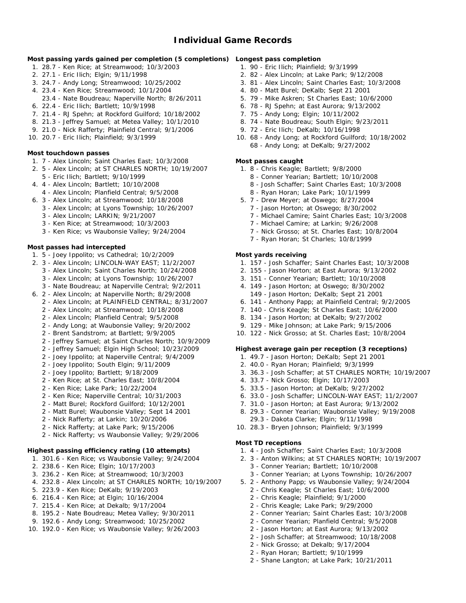# **Individual Game Records**

**Most passing yards gained per completion (5 completions) Longest pass completion**

- 1. 28.7 Ken Rice; at Streamwood; 10/3/2003
- 2. 27.1 Eric Ilich; Elgin; 9/11/1998
- 3. 24.7 Andy Long; Streamwood; 10/25/2002
- 4. 23.4 Ken Rice; Streamwood; 10/1/2004
- 23.4 Nate Boudreau; Naperville North; 8/26/2011
- 6. 22.4 Eric Ilich; Bartlett; 10/9/1998
- 7. 21.4 RJ Spehn; at Rockford Guilford; 10/18/2002
- 8. 21.3 Jeffrey Samuel; at Metea Valley; 10/1/2010
- 9. 21.0 Nick Rafferty; Plainfield Central; 9/1/2006
- 10. 20.7 Eric Ilich; Plainfield; 9/3/1999

**Most touchdown passes**

- 1. 7 Alex Lincoln; Saint Charles East; 10/3/2008
- 2. 5 Alex Lincoln; at ST CHARLES NORTH; 10/19/2007
- 5 Eric Ilich; Bartlett; 9/10/1999
- 4. 4 Alex Lincoln; Bartlett; 10/10/2008
- 4 Alex Lincoln; Planfield Central; 9/5/2008
- 6. 3 Alex Lincoln; at Streamwood; 10/18/2008
- 3 Alex Lincoln; at Lyons Township; 10/26/2007
	- 3 Alex Lincoln; LARKIN; 9/21/2007
	- 3 Ken Rice; at Streamwood; 10/3/2003
	- 3 Ken Rice; vs Waubonsie Valley; 9/24/2004

#### **Most passes had intercepted**

- 1. 5 Joey Ippolito; vs Cathedral; 10/2/2009
- 2. 3 Alex Lincoln; LINCOLN-WAY EAST; 11/2/2007
	- 3 Alex Lincoln; Saint Charles North; 10/24/2008
	- 3 Alex Lincoln; at Lyons Township; 10/26/2007
	- 3 Nate Boudreau; at Naperville Central; 9/2/2011
- 6. 2 Alex Lincoln; at Naperville North; 8/29/2008
	- 2 Alex Lincoln; at PLAINFIELD CENTRAL; 8/31/2007
	- 2 Alex Lincoln; at Streamwood; 10/18/2008
	- 2 Alex Lincoln; Planfield Central; 9/5/2008
	- 2 Andy Long; at Waubonsie Valley; 9/20/2002
	- 2 Brent Sandstrom; at Bartlett; 9/9/2005
	- 2 Jeffrey Samuel; at Saint Charles North; 10/9/2009
	- 2 Jeffrey Samuel; Elgin High School; 10/23/2009
	- 2 Joey Ippolito; at Naperville Central; 9/4/2009
	- 2 Joey Ippolito; South Elgin; 9/11/2009
	- 2 Joey Ippolito; Bartlett; 9/18/2009
	- 2 Ken Rice; at St. Charles East; 10/8/2004
	- 2 Ken Rice; Lake Park; 10/22/2004
	- 2 Ken Rice; Naperville Central; 10/31/2003
	- 2 Matt Burel; Rockford Guilford; 10/12/2001
	- 2 Matt Burel; Waubonsie Valley; Sept 14 2001
	- 2 Nick Rafferty; at Larkin; 10/20/2006
	- 2 Nick Rafferty; at Lake Park; 9/15/2006
	- 2 Nick Rafferty; vs Waubonsie Valley; 9/29/2006

#### **Highest passing efficiency rating (10 attempts)**

- 1. 301.6 Ken Rice; vs Waubonsie Valley; 9/24/2004
- 2. 238.6 Ken Rice; Elgin; 10/17/2003
- 3. 236.2 Ken Rice; at Streamwood; 10/3/2003
- 4. 232.8 Alex Lincoln; at ST CHARLES NORTH; 10/19/2007
- 5. 223.9 Ken Rice; DeKalb; 9/19/2003
- 6. 216.4 Ken Rice; at Elgin; 10/16/2004
- 7. 215.4 Ken Rice; at Dekalb; 9/17/2004
- 8. 195.2 Nate Boudreau; Metea Valley; 9/30/2011
- 9. 192.6 Andy Long; Streamwood; 10/25/2002
- 10. 192.0 Ken Rice; vs Waubonsie Valley; 9/26/2003
- 1. 90 Eric Ilich; Plainfield; 9/3/1999
- 2. 82 Alex Lincoln; at Lake Park; 9/12/2008
- 3. 81 Alex Lincoln; Saint Charles East; 10/3/2008
- 4. 80 Matt Burel; DeKalb; Sept 21 2001
- 5. 79 Mike Askren; St Charles East; 10/6/2000
- 6. 78 RJ Spehn; at East Aurora; 9/13/2002
- 7. 75 Andy Long; Elgin; 10/11/2002
- 8. 74 Nate Boudreau; South Elgin; 9/23/2011
- 9. 72 Eric Ilich; DeKalb; 10/16/1998
- 10. 68 Andy Long; at Rockford Guilford; 10/18/2002 68 - Andy Long; at DeKalb; 9/27/2002
- **Most passes caught**
	- 1. 8 Chris Keagle; Bartlett; 9/8/2000
		- 8 Conner Yearian; Bartlett; 10/10/2008
		- 8 Josh Schaffer; Saint Charles East; 10/3/2008
		- 8 Ryan Horan; Lake Park; 10/1/1999
	- 5. 7 Drew Meyer; at Oswego; 8/27/2004
		- 7 Jason Horton; at Oswego; 8/30/2002
		- 7 Michael Camire; Saint Charles East; 10/3/2008
		- 7 Michael Camire; at Larkin; 9/26/2008
		- 7 Nick Grosso; at St. Charles East; 10/8/2004
		- 7 Ryan Horan; St Charles; 10/8/1999

**Most yards receiving**

**Most TD receptions**

- 1. 157 Josh Schaffer; Saint Charles East; 10/3/2008
- 2. 155 Jason Horton; at East Aurora; 9/13/2002
- 3. 151 Conner Yearian; Bartlett; 10/10/2008
- 4. 149 Jason Horton; at Oswego; 8/30/2002 149 - Jason Horton; DeKalb; Sept 21 2001
- 6. 141 Anthony Papp; at Plainfield Central; 9/2/2005
- 7. 140 Chris Keagle; St Charles East; 10/6/2000
- 8. 134 Jason Horton; at DeKalb; 9/27/2002
- 9. 129 Mike Johnson; at Lake Park; 9/15/2006
- 10. 122 Nick Grosso; at St. Charles East; 10/8/2004
- **Highest average gain per reception (3 receptions)**
- 1. 49.7 Jason Horton; DeKalb; Sept 21 2001
- 2. 40.0 Ryan Horan; Plainfield; 9/3/1999
- 3. 36.3 Josh Schaffer; at ST CHARLES NORTH; 10/19/2007
- 4. 33.7 Nick Grosso; Elgin; 10/17/2003
- 5. 33.5 Jason Horton; at DeKalb; 9/27/2002
- 6. 33.0 Josh Schaffer; LINCOLN-WAY EAST; 11/2/2007
- 7. 31.0 Jason Horton; at East Aurora; 9/13/2002

1. 4 - Josh Schaffer; Saint Charles East; 10/3/2008 2. 3 - Anton Wilkins; at ST CHARLES NORTH; 10/19/2007

3 - Conner Yearian; at Lyons Township; 10/26/2007 5. 2 - Anthony Papp; vs Waubonsie Valley; 9/24/2004 2 - Chris Keagle; St Charles East; 10/6/2000 2 - Chris Keagle; Plainfield; 9/1/2000 2 - Chris Keagle; Lake Park; 9/29/2000

2 - Conner Yearian; Saint Charles East; 10/3/2008 2 - Conner Yearian; Planfield Central; 9/5/2008 2 - Jason Horton; at East Aurora; 9/13/2002 2 - Josh Schaffer; at Streamwood; 10/18/2008

3 - Conner Yearian; Bartlett; 10/10/2008

2 - Nick Grosso; at Dekalb; 9/17/2004 2 - Ryan Horan; Bartlett; 9/10/1999

2 - Shane Langton; at Lake Park; 10/21/2011

- 8. 29.3 Conner Yearian; Waubonsie Valley; 9/19/2008
- 29.3 Dakota Clarke; Elgin; 9/11/1998 10. 28.3 - Bryen Johnson; Plainfield; 9/3/1999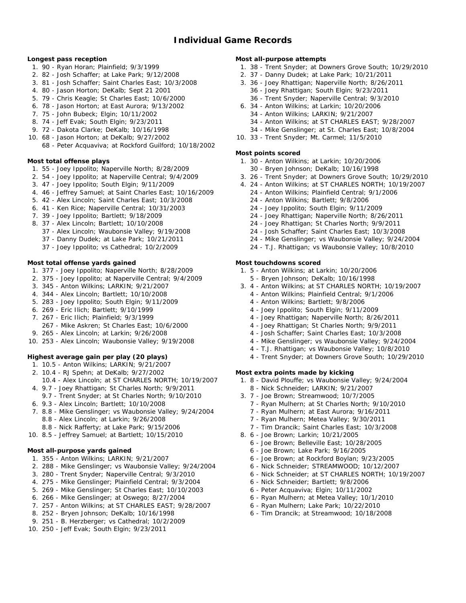# **Individual Game Records**

**Longest pass reception**

- 1. 90 Ryan Horan; Plainfield; 9/3/1999
- 2. 82 Josh Schaffer; at Lake Park; 9/12/2008
- 3. 81 Josh Schaffer; Saint Charles East; 10/3/2008
- 4. 80 Jason Horton; DeKalb; Sept 21 2001
- 5. 79 Chris Keagle; St Charles East; 10/6/2000
- 6. 78 Jason Horton; at East Aurora; 9/13/2002
- 7. 75 John Bubeck; Elgin; 10/11/2002
- 8. 74 Jeff Evak; South Elgin; 9/23/2011
- 9. 72 Dakota Clarke; DeKalb; 10/16/1998
- 10. 68 Jason Horton; at DeKalb; 9/27/2002 68 - Peter Acquaviva; at Rockford Guilford; 10/18/2002

**Most total offense plays**

- 1. 55 Joey Ippolito; Naperville North; 8/28/2009
- 2. 54 Joey Ippolito; at Naperville Central; 9/4/2009
- 3. 47 Joey Ippolito; South Elgin; 9/11/2009
- 4. 46 Jeffrey Samuel; at Saint Charles East; 10/16/2009
- 5. 42 Alex Lincoln; Saint Charles East; 10/3/2008
- 6. 41 Ken Rice; Naperville Central; 10/31/2003
- 7. 39 Joey Ippolito; Bartlett; 9/18/2009
- 8. 37 Alex Lincoln; Bartlett; 10/10/2008
	- 37 Alex Lincoln; Waubonsie Valley; 9/19/2008
	- 37 Danny Dudek; at Lake Park; 10/21/2011
	- 37 Joey Ippolito; vs Cathedral; 10/2/2009

#### **Most total offense yards gained**

- 1. 377 Joey Ippolito; Naperville North; 8/28/2009
- 2. 375 Joey Ippolito; at Naperville Central; 9/4/2009
- 3. 345 Anton Wilkins; LARKIN; 9/21/2007
- 4. 344 Alex Lincoln; Bartlett; 10/10/2008
- 5. 283 Joey Ippolito; South Elgin; 9/11/2009
- 6. 269 Eric Ilich; Bartlett; 9/10/1999
- 7. 267 Eric Ilich; Plainfield; 9/3/1999
- 267 Mike Askren; St Charles East; 10/6/2000
- 9. 265 Alex Lincoln; at Larkin; 9/26/2008
- 10. 253 Alex Lincoln; Waubonsie Valley; 9/19/2008

**Highest average gain per play (20 plays)**

- 1. 10.5 Anton Wilkins; LARKIN; 9/21/2007
- 2. 10.4 RJ Spehn; at DeKalb; 9/27/2002
- 10.4 Alex Lincoln; at ST CHARLES NORTH; 10/19/2007
- 4. 9.7 Joey Rhattigan; St Charles North; 9/9/2011 9.7 - Trent Snyder; at St Charles North; 9/10/2010
- 
- 6. 9.3 Alex Lincoln; Bartlett; 10/10/2008
- 7. 8.8 Mike Genslinger; vs Waubonsie Valley; 9/24/2004 8.8 - Alex Lincoln; at Larkin; 9/26/2008
- 8.8 Nick Rafferty; at Lake Park; 9/15/2006
- 10. 8.5 Jeffrey Samuel; at Bartlett; 10/15/2010

#### **Most all-purpose yards gained**

- 1. 355 Anton Wilkins; LARKIN; 9/21/2007
- 2. 288 Mike Genslinger; vs Waubonsie Valley; 9/24/2004
- 3. 280 Trent Snyder; Naperville Central; 9/3/2010
- 4. 275 Mike Genslinger; Plainfield Central; 9/3/2004
- 5. 269 Mike Genslinger; St Charles East; 10/10/2003
- 6. 266 Mike Genslinger; at Oswego; 8/27/2004
- 7. 257 Anton Wilkins; at ST CHARLES EAST; 9/28/2007
- 8. 252 Bryen Johnson; DeKalb; 10/16/1998
- 9. 251 B. Herzberger; vs Cathedral; 10/2/2009
- 10. 250 Jeff Evak; South Elgin; 9/23/2011

**Most all-purpose attempts**

- 1. 38 Trent Snyder; at Downers Grove South; 10/29/2010
- 2. 37 Danny Dudek; at Lake Park; 10/21/2011
- 3. 36 Joey Rhattigan; Naperville North; 8/26/2011 36 - Joey Rhattigan; South Elgin; 9/23/2011 36 - Trent Snyder; Naperville Central; 9/3/2010
- 6. 34 Anton Wilkins; at Larkin; 10/20/2006
	- 34 Anton Wilkins; LARKIN; 9/21/2007
	- 34 Anton Wilkins; at ST CHARLES EAST; 9/28/2007
	- 34 Mike Genslinger; at St. Charles East; 10/8/2004
- 10. 33 Trent Snyder; Mt. Carmel; 11/5/2010

#### **Most points scored**

- 1. 30 Anton Wilkins; at Larkin; 10/20/2006
- 30 Bryen Johnson; DeKalb; 10/16/1998
- 3. 26 Trent Snyder; at Downers Grove South; 10/29/2010
- 4. 24 Anton Wilkins; at ST CHARLES NORTH; 10/19/2007
- 24 Anton Wilkins; Plainfield Central; 9/1/2006
	- 24 Anton Wilkins; Bartlett; 9/8/2006
- 24 Joey Ippolito; South Elgin; 9/11/2009
- 24 Joey Rhattigan; Naperville North; 8/26/2011
- 24 Joey Rhattigan; St Charles North; 9/9/2011
- 24 Josh Schaffer; Saint Charles East; 10/3/2008
- 24 Mike Genslinger; vs Waubonsie Valley; 9/24/2004
- 24 T.J. Rhattigan; vs Waubonsie Valley; 10/8/2010

**Most touchdowns scored**

- 1. 5 Anton Wilkins; at Larkin; 10/20/2006
	- 5 Bryen Johnson; DeKalb; 10/16/1998
- 3. 4 Anton Wilkins; at ST CHARLES NORTH; 10/19/2007
	- 4 Anton Wilkins; Plainfield Central; 9/1/2006
	- 4 Anton Wilkins; Bartlett; 9/8/2006
	- 4 Joey Ippolito; South Elgin; 9/11/2009
	- 4 Joey Rhattigan; Naperville North; 8/26/2011
	- 4 Joey Rhattigan; St Charles North; 9/9/2011
	- 4 Josh Schaffer; Saint Charles East; 10/3/2008
	- 4 Mike Genslinger; vs Waubonsie Valley; 9/24/2004
	- 4 T.J. Rhattigan; vs Waubonsie Valley; 10/8/2010
	- 4 Trent Snyder; at Downers Grove South; 10/29/2010

**Most extra points made by kicking**

- 1. 8 David Plouffe; vs Waubonsie Valley; 9/24/2004
- 8 Nick Schneider; LARKIN; 9/21/2007
- 3. 7 Joe Brown; Streamwood; 10/7/2005
	- 7 Ryan Mulhern; at St Charles North; 9/10/2010
	- 7 Ryan Mulhern; at East Aurora; 9/16/2011
	- 7 Ryan Mulhern; Metea Valley; 9/30/2011

6 - Joe Brown; Belleville East; 10/28/2005 6 - Joe Brown; Lake Park; 9/16/2005

6 - Nick Schneider; Bartlett; 9/8/2006 6 - Peter Acquaviva; Elgin; 10/11/2002 6 - Ryan Mulhern; at Metea Valley; 10/1/2010 6 - Ryan Mulhern; Lake Park; 10/22/2010 6 - Tim Drancik; at Streamwood; 10/18/2008

7 - Tim Drancik; Saint Charles East; 10/3/2008

6 - Joe Brown; at Rockford Boylan; 9/23/2005 6 - Nick Schneider; STREAMWOOD; 10/12/2007 6 - Nick Schneider; at ST CHARLES NORTH; 10/19/2007

8. 6 - Joe Brown; Larkin; 10/21/2005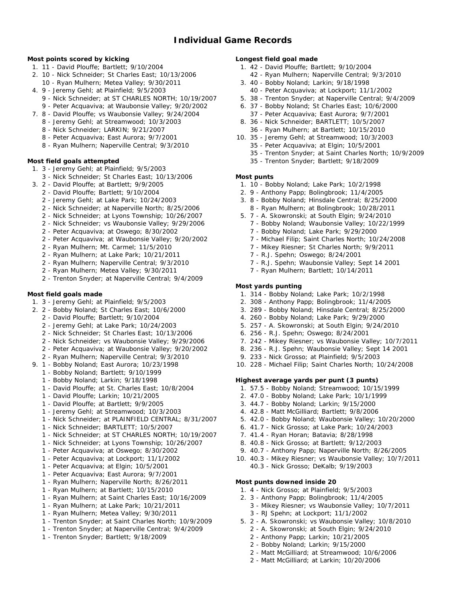**Most points scored by kicking**

- 1. 11 David Plouffe; Bartlett; 9/10/2004
- 2. 10 Nick Schneider; St Charles East; 10/13/2006 10 - Ryan Mulhern; Metea Valley; 9/30/2011
- 4. 9 Jeremy Gehl; at Plainfield; 9/5/2003
	- 9 Nick Schneider; at ST CHARLES NORTH; 10/19/2007
	- 9 Peter Acquaviva; at Waubonsie Valley; 9/20/2002
- 7. 8 David Plouffe; vs Waubonsie Valley; 9/24/2004
	- 8 Jeremy Gehl; at Streamwood; 10/3/2003
	- 8 Nick Schneider; LARKIN; 9/21/2007
	- 8 Peter Acquaviva; East Aurora; 9/7/2001 8 - Ryan Mulhern; Naperville Central; 9/3/2010

**Most field goals attempted**

- 1. 3 Jeremy Gehl; at Plainfield; 9/5/2003
- 3 Nick Schneider; St Charles East; 10/13/2006
- 3. 2 David Plouffe; at Bartlett; 9/9/2005
	- 2 David Plouffe; Bartlett; 9/10/2004
	- 2 Jeremy Gehl; at Lake Park; 10/24/2003
	- 2 Nick Schneider; at Naperville North; 8/25/2006
	- 2 Nick Schneider; at Lyons Township; 10/26/2007
	- 2 Nick Schneider; vs Waubonsie Valley; 9/29/2006
	- 2 Peter Acquaviva; at Oswego; 8/30/2002
	- 2 Peter Acquaviva; at Waubonsie Valley; 9/20/2002
	- 2 Ryan Mulhern; Mt. Carmel; 11/5/2010
	- 2 Ryan Mulhern; at Lake Park; 10/21/2011
	- 2 Ryan Mulhern; Naperville Central; 9/3/2010
	- 2 Ryan Mulhern; Metea Valley; 9/30/2011
	- 2 Trenton Snyder; at Naperville Central; 9/4/2009

## **Most field goals made**

- 1. 3 Jeremy Gehl; at Plainfield; 9/5/2003
- 2. 2 Bobby Noland; St Charles East; 10/6/2000
	- 2 David Plouffe; Bartlett; 9/10/2004
	- 2 Jeremy Gehl; at Lake Park; 10/24/2003
	- 2 Nick Schneider; St Charles East; 10/13/2006
	- 2 Nick Schneider; vs Waubonsie Valley; 9/29/2006
	- 2 Peter Acquaviva; at Waubonsie Valley; 9/20/2002
	- 2 Ryan Mulhern; Naperville Central; 9/3/2010
- 9. 1 Bobby Noland; East Aurora; 10/23/1998
	- 1 Bobby Noland; Bartlett; 9/10/1999
	- 1 Bobby Noland; Larkin; 9/18/1998
	- 1 David Plouffe; at St. Charles East; 10/8/2004
	- 1 David Plouffe; Larkin; 10/21/2005
	- 1 David Plouffe; at Bartlett; 9/9/2005
	- 1 Jeremy Gehl; at Streamwood; 10/3/2003
	- 1 Nick Schneider; at PLAINFIELD CENTRAL; 8/31/2007
	- 1 Nick Schneider; BARTLETT; 10/5/2007
	- 1 Nick Schneider; at ST CHARLES NORTH; 10/19/2007
	- 1 Nick Schneider; at Lyons Township; 10/26/2007
	- 1 Peter Acquaviva; at Oswego; 8/30/2002
	- 1 Peter Acquaviva; at Lockport; 11/1/2002
	- 1 Peter Acquaviva; at Elgin; 10/5/2001
	- 1 Peter Acquaviva; East Aurora; 9/7/2001
	- 1 Ryan Mulhern; Naperville North; 8/26/2011
	- 1 Ryan Mulhern; at Bartlett; 10/15/2010
	- 1 Ryan Mulhern; at Saint Charles East; 10/16/2009
	- 1 Ryan Mulhern; at Lake Park; 10/21/2011
	- 1 Ryan Mulhern; Metea Valley; 9/30/2011
	- 1 Trenton Snyder; at Saint Charles North; 10/9/2009
	- 1 Trenton Snyder; at Naperville Central; 9/4/2009
	- 1 Trenton Snyder; Bartlett; 9/18/2009

**Longest field goal made**

- 1. 42 David Plouffe; Bartlett; 9/10/2004
- 42 Ryan Mulhern; Naperville Central; 9/3/2010
- 3. 40 Bobby Noland; Larkin; 9/18/1998
- 40 Peter Acquaviva; at Lockport; 11/1/2002
- 5. 38 Trenton Snyder; at Naperville Central; 9/4/2009
- 6. 37 Bobby Noland; St Charles East; 10/6/2000
- 37 Peter Acquaviva; East Aurora; 9/7/2001
- 8. 36 Nick Schneider; BARTLETT; 10/5/2007
- 36 Ryan Mulhern; at Bartlett; 10/15/2010
- 10. 35 Jeremy Gehl; at Streamwood; 10/3/2003 35 - Peter Acquaviva; at Elgin; 10/5/2001
	- 35 Trenton Snyder; at Saint Charles North; 10/9/2009
	- 35 Trenton Snyder; Bartlett; 9/18/2009
- **Most punts**
- 1. 10 Bobby Noland; Lake Park; 10/2/1998
- 2. 9 Anthony Papp; Bolingbrook; 11/4/2005
- 3. 8 Bobby Noland; Hinsdale Central; 8/25/2000
- 8 Ryan Mulhern; at Bolingbrook; 10/28/2011
- 5. 7 A. Skowronski; at South Elgin; 9/24/2010
- 7 Bobby Noland; Waubonsie Valley; 10/22/1999
	- 7 Bobby Noland; Lake Park; 9/29/2000
	- 7 Michael Filip; Saint Charles North; 10/24/2008
	- 7 Mikey Riesner; St Charles North; 9/9/2011
	- 7 R.J. Spehn; Oswego; 8/24/2001
	- 7 R.J. Spehn; Waubonsie Valley; Sept 14 2001
	- 7 Ryan Mulhern; Bartlett; 10/14/2011

#### **Most yards punting**

- 1. 314 Bobby Noland; Lake Park; 10/2/1998
- 2. 308 Anthony Papp; Bolingbrook; 11/4/2005
- 3. 289 Bobby Noland; Hinsdale Central; 8/25/2000
- 4. 260 Bobby Noland; Lake Park; 9/29/2000
- 5. 257 A. Skowronski; at South Elgin; 9/24/2010
- 6. 256 R.J. Spehn; Oswego; 8/24/2001
- 7. 242 Mikey Riesner; vs Waubonsie Valley; 10/7/2011
- 8. 236 R.J. Spehn; Waubonsie Valley; Sept 14 2001
- 9. 233 Nick Grosso; at Plainfield; 9/5/2003
- 10. 228 Michael Filip; Saint Charles North; 10/24/2008

5. 42.0 - Bobby Noland; Waubonsie Valley; 10/20/2000 6. 41.7 - Nick Grosso; at Lake Park; 10/24/2003 7. 41.4 - Ryan Horan; Batavia; 8/28/1998 8. 40.8 - Nick Grosso; at Bartlett; 9/12/2003 9. 40.7 - Anthony Papp; Naperville North; 8/26/2005 10. 40.3 - Mikey Riesner; vs Waubonsie Valley; 10/7/2011

3 - Mikey Riesner; vs Waubonsie Valley; 10/7/2011

5. 2 - A. Skowronski; vs Waubonsie Valley; 10/8/2010 2 - A. Skowronski; at South Elgin; 9/24/2010 2 - Anthony Papp; Larkin; 10/21/2005 2 - Bobby Noland; Larkin; 9/15/2000

2 - Matt McGilliard; at Streamwood; 10/6/2006 2 - Matt McGilliard; at Larkin; 10/20/2006

**Highest average yards per punt (3 punts)**

- 1. 57.5 Bobby Noland; Streamwood; 10/15/1999
- 2. 47.0 Bobby Noland; Lake Park; 10/1/1999

40.3 - Nick Grosso; DeKalb; 9/19/2003

1. 4 - Nick Grosso; at Plainfield; 9/5/2003 2. 3 - Anthony Papp; Bolingbrook; 11/4/2005

3 - RJ Spehn; at Lockport; 11/1/2002

**Most punts downed inside 20**

3. 44.7 - Bobby Noland; Larkin; 9/15/2000 4. 42.8 - Matt McGilliard; Bartlett; 9/8/2006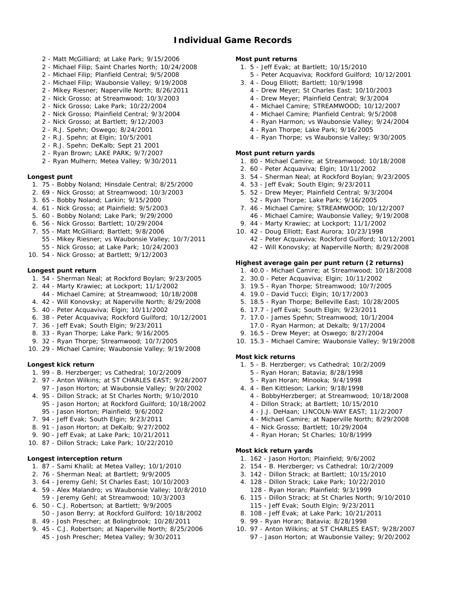# **Individual Game Records**

- 2 Matt McGilliard; at Lake Park; 9/15/2006
- 2 Michael Filip; Saint Charles North; 10/24/2008
- 2 Michael Filip; Planfield Central; 9/5/2008
- 2 Michael Filip; Waubonsie Valley; 9/19/2008
- 2 Mikey Riesner; Naperville North; 8/26/2011
- 2 Nick Grosso; at Streamwood; 10/3/2003
- 2 Nick Grosso; Lake Park; 10/22/2004
- 2 Nick Grosso; Plainfield Central; 9/3/2004
- 2 Nick Grosso; at Bartlett; 9/12/2003
- 2 R.J. Spehn; Oswego; 8/24/2001
- 2 R.J. Spehn; at Elgin; 10/5/2001
- 2 R.J. Spehn; DeKalb; Sept 21 2001
- 2 Ryan Brown; LAKE PARK; 9/7/2007
- 2 Ryan Mulhern; Metea Valley; 9/30/2011
- **Longest punt**
	- 1. 75 Bobby Noland; Hinsdale Central; 8/25/2000
	- 2. 69 Nick Grosso; at Streamwood; 10/3/2003
	- 3. 65 Bobby Noland; Larkin; 9/15/2000
	- 4. 61 Nick Grosso; at Plainfield; 9/5/2003
	- 5. 60 Bobby Noland; Lake Park; 9/29/2000
	- 6. 56 Nick Grosso; Bartlett; 10/29/2004
	- 7. 55 Matt McGilliard; Bartlett; 9/8/2006
		- 55 Mikey Riesner; vs Waubonsie Valley; 10/7/2011
	- 55 Nick Grosso; at Lake Park; 10/24/2003
- 10. 54 Nick Grosso; at Bartlett; 9/12/2003

#### **Longest punt return**

- 1. 54 Sherman Neal; at Rockford Boylan; 9/23/2005
- 2. 44 Marty Krawiec; at Lockport; 11/1/2002
- 44 Michael Camire; at Streamwood; 10/18/2008
- 4. 42 Will Konovsky; at Naperville North; 8/29/2008
- 5. 40 Peter Acquaviva; Elgin; 10/11/2002
- 6. 38 Peter Acquaviva; Rockford Guilford; 10/12/2001
- 7. 36 Jeff Evak; South Elgin; 9/23/2011
- 8. 33 Ryan Thorpe; Lake Park; 9/16/2005
- 9. 32 Ryan Thorpe; Streamwood; 10/7/2005
- 10. 29 Michael Camire; Waubonsie Valley; 9/19/2008

**Longest kick return**

- 1. 99 B. Herzberger; vs Cathedral; 10/2/2009
- 2. 97 Anton Wilkins; at ST CHARLES EAST; 9/28/2007 97 - Jason Horton; at Waubonsie Valley; 9/20/2002
- 4. 95 Dillon Strack; at St Charles North; 9/10/2010
	- 95 Jason Horton; at Rockford Guilford; 10/18/2002 95 - Jason Horton; Plainfield; 9/6/2002
- 7. 94 Jeff Evak; South Elgin; 9/23/2011
- 8. 91 Jason Horton; at DeKalb; 9/27/2002
- 9. 90 Jeff Evak; at Lake Park; 10/21/2011
- 10. 87 Dillon Strack; Lake Park; 10/22/2010

#### **Longest interception return**

- 1. 87 Sami Khalil; at Metea Valley; 10/1/2010
- 2. 76 Sherman Neal; at Bartlett; 9/9/2005
- 3. 64 Jeremy Gehl; St Charles East; 10/10/2003
- 4. 59 Alex Malandro; vs Waubonsie Valley; 10/8/2010 59 - Jeremy Gehl; at Streamwood; 10/3/2003
- 6. 50 C.J. Robertson; at Bartlett; 9/9/2005 50 - Jason Berry; at Rockford Guilford; 10/18/2002
- 8. 49 Josh Prescher; at Bolingbrook; 10/28/2011
- 9. 45 C.J. Robertson; at Naperville North; 8/25/2006
	- 45 Josh Prescher; Metea Valley; 9/30/2011

**Most punt returns**

- 1. 5 Jeff Evak; at Bartlett; 10/15/2010
	- 5 Peter Acquaviva; Rockford Guilford; 10/12/2001
- 3. 4 Doug Elliott; Bartlett; 10/9/1998
	- 4 Drew Meyer; St Charles East; 10/10/2003
	- 4 Drew Meyer; Plainfield Central; 9/3/2004
	- 4 Michael Camire; STREAMWOOD; 10/12/2007
	- 4 Michael Camire; Planfield Central; 9/5/2008
	- 4 Ryan Harmon; vs Waubonsie Valley; 9/24/2004
	- 4 Ryan Thorpe; Lake Park; 9/16/2005
	- 4 Ryan Thorpe; vs Waubonsie Valley; 9/30/2005

#### **Most punt return yards**

- 1. 80 Michael Camire; at Streamwood; 10/18/2008
- 2. 60 Peter Acquaviva; Elgin; 10/11/2002
- 3. 54 Sherman Neal; at Rockford Boylan; 9/23/2005
- 4. 53 Jeff Evak; South Elgin; 9/23/2011
- 5. 52 Drew Meyer; Plainfield Central; 9/3/2004 52 - Ryan Thorpe; Lake Park; 9/16/2005
- 7. 46 Michael Camire; STREAMWOOD; 10/12/2007 46 - Michael Camire; Waubonsie Valley; 9/19/2008
- 9. 44 Marty Krawiec; at Lockport; 11/1/2002
- 10. 42 Doug Elliott; East Aurora; 10/23/1998 42 - Peter Acquaviva; Rockford Guilford; 10/12/2001 42 - Will Konovsky; at Naperville North; 8/29/2008

**Highest average gain per punt return (2 returns)**

- 1. 40.0 Michael Camire; at Streamwood; 10/18/2008
- 2. 30.0 Peter Acquaviva; Elgin; 10/11/2002
- 3. 19.5 Ryan Thorpe; Streamwood; 10/7/2005
- 4. 19.0 David Tucci; Elgin; 10/17/2003
- 5. 18.5 Ryan Thorpe; Belleville East; 10/28/2005
- 6. 17.7 Jeff Evak; South Elgin; 9/23/2011
- 7. 17.0 James Spehn; Streamwood; 10/1/2004
- 17.0 Ryan Harmon; at Dekalb; 9/17/2004
- 9. 16.5 Drew Meyer; at Oswego; 8/27/2004
- 10. 15.3 Michael Camire; Waubonsie Valley; 9/19/2008

#### **Most kick returns**

- 1. 5 B. Herzberger; vs Cathedral; 10/2/2009
	- 5 Ryan Horan; Batavia; 8/28/1998
	- 5 Ryan Horan; Minooka; 9/4/1998
- 4. 4 Ben Kittleson; Larkin; 9/18/1998
	- 4 BobbyHerzberger; at Streamwood; 10/18/2008
	- 4 Dillon Strack; at Bartlett; 10/15/2010
	- 4 J.J. DeHaan; LINCOLN-WAY EAST; 11/2/2007
	- 4 Michael Camire; at Naperville North; 8/29/2008
	- 4 Nick Grosso; Bartlett; 10/29/2004
	- 4 Ryan Horan; St Charles; 10/8/1999

#### **Most kick return yards**

- 1. 162 Jason Horton; Plainfield; 9/6/2002
- 2. 154 B. Herzberger; vs Cathedral; 10/2/2009 3. 142 - Dillon Strack; at Bartlett; 10/15/2010

6. 115 - Dillon Strack; at St Charles North; 9/10/2010

10. 97 - Anton Wilkins; at ST CHARLES EAST; 9/28/2007 97 - Jason Horton; at Waubonsie Valley; 9/20/2002

4. 128 - Dillon Strack; Lake Park; 10/22/2010 128 - Ryan Horan; Plainfield; 9/3/1999

115 - Jeff Evak; South Elgin; 9/23/2011 8. 108 - Jeff Evak; at Lake Park; 10/21/2011 9. 99 - Ryan Horan; Batavia; 8/28/1998